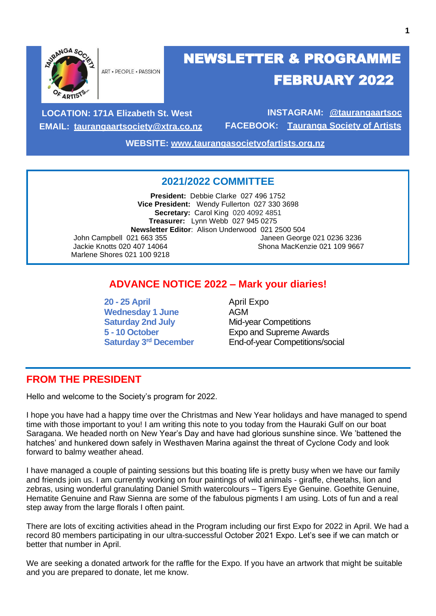

ART · PEOPLE · PASSION

# NEWSLETTER & PROGRAMME FEBRUARY 2022

**LOCATION: 171A Elizabeth St. West EMAIL: [taurangaartsociety@xtra.co.nz](mailto:taurangaartsociety@xtra.co.nz)**

**INSTAGRAM: @taurangaartsoc FACEBOOK: Tauranga Society of Artists**

**WEBSITE: [www.taurangasocietyofartists.org.nz](http://www.taurangasocietyofartists.org.nz/)**

#### **2021/2022 COMMITTEE**

**President:** Debbie Clarke 027 496 1752 **Vice President:** Wendy Fullerton 027 330 3698 **Secretary:** Carol King 020 4092 4851 **Treasurer:** Lynn Webb 027 945 0275 **Newsletter Editor**: Alison Underwood 021 2500 504 John Campbell 021 663 355 Jackie Knotts 020 407 14064 Marlene Shores 021 100 9218 Janeen George 021 0236 3236 Shona MacKenzie 021 109 9667

### **ADVANCE NOTICE 2022 – Mark your diaries!**

**20 - 25 April** April Expo Wednesday 1 June **AGM Saturday 2nd July** Mid-year Competitions

**5 - 10 October** Expo and Supreme Awards **End-of-year Competitions/social** 

### **FROM THE PRESIDENT**

Hello and welcome to the Society's program for 2022.

I hope you have had a happy time over the Christmas and New Year holidays and have managed to spend time with those important to you! I am writing this note to you today from the Hauraki Gulf on our boat Saragana. We headed north on New Year's Day and have had glorious sunshine since. We 'battened the hatches' and hunkered down safely in Westhaven Marina against the threat of Cyclone Cody and look forward to balmy weather ahead.

I have managed a couple of painting sessions but this boating life is pretty busy when we have our family and friends join us. I am currently working on four paintings of wild animals - giraffe, cheetahs, lion and zebras, using wonderful granulating Daniel Smith watercolours – Tigers Eye Genuine. Goethite Genuine, Hematite Genuine and Raw Sienna are some of the fabulous pigments I am using. Lots of fun and a real step away from the large florals I often paint.

There are lots of exciting activities ahead in the Program including our first Expo for 2022 in April. We had a record 80 members participating in our ultra-successful October 2021 Expo. Let's see if we can match or better that number in April.

We are seeking a donated artwork for the raffle for the Expo. If you have an artwork that might be suitable and you are prepared to donate, let me know.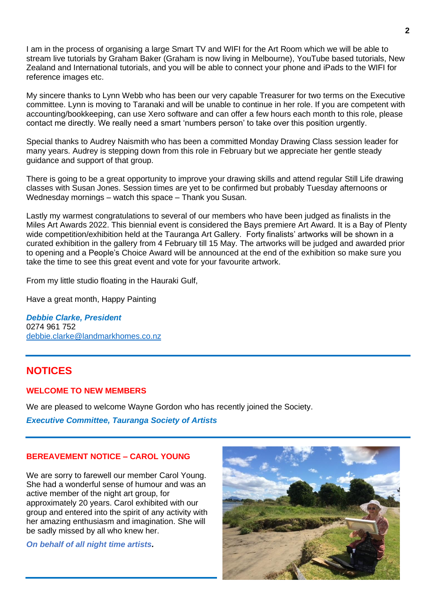I am in the process of organising a large Smart TV and WIFI for the Art Room which we will be able to stream live tutorials by Graham Baker (Graham is now living in Melbourne), YouTube based tutorials, New Zealand and International tutorials, and you will be able to connect your phone and iPads to the WIFI for reference images etc.

My sincere thanks to Lynn Webb who has been our very capable Treasurer for two terms on the Executive committee. Lynn is moving to Taranaki and will be unable to continue in her role. If you are competent with accounting/bookkeeping, can use Xero software and can offer a few hours each month to this role, please contact me directly. We really need a smart 'numbers person' to take over this position urgently.

Special thanks to Audrey Naismith who has been a committed Monday Drawing Class session leader for many years. Audrey is stepping down from this role in February but we appreciate her gentle steady guidance and support of that group.

There is going to be a great opportunity to improve your drawing skills and attend regular Still Life drawing classes with Susan Jones. Session times are yet to be confirmed but probably Tuesday afternoons or Wednesday mornings – watch this space – Thank you Susan.

Lastly my warmest congratulations to several of our members who have been judged as finalists in the Miles Art Awards 2022. This biennial event is considered the Bays premiere Art Award. It is a Bay of Plenty wide competition/exhibition held at the Tauranga Art Gallery. Forty finalists' artworks will be shown in a curated exhibition in the gallery from 4 February till 15 May. The artworks will be judged and awarded prior to opening and a People's Choice Award will be announced at the end of the exhibition so make sure you take the time to see this great event and vote for your favourite artwork.

From my little studio floating in the Hauraki Gulf,

Have a great month, Happy Painting

*Debbie Clarke, President* 0274 961 752 [debbie.clarke@landmarkhomes.co.nz](mailto:debbie.clarke@landmarkhomes.co.nz)

### **NOTICES**

#### **WELCOME TO NEW MEMBERS**

We are pleased to welcome Wayne Gordon who has recently joined the Society.

*Executive Committee, Tauranga Society of Artists*

#### **BEREAVEMENT NOTICE – CAROL YOUNG**

We are sorry to farewell our member Carol Young. She had a wonderful sense of humour and was an active member of the night art group, for approximately 20 years. Carol exhibited with our group and entered into the spirit of any activity with her amazing enthusiasm and imagination. She will be sadly missed by all who knew her.

*On behalf of all night time artists.*

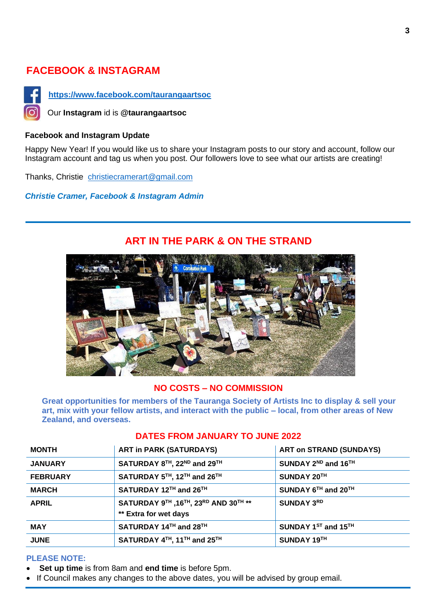### **FACEBOOK & INSTAGRAM**



**<https://www.facebook.com/taurangaartsoc>**

Our **Instagram** id is **@taurangaartsoc**

#### **Facebook and Instagram Update**

Happy New Year! If you would like us to share your Instagram posts to our story and account, follow our Instagram account and tag us when you post. Our followers love to see what our artists are creating!

Thanks, Christie [christiecramerart@gmail.com](mailto:christiecramerart@gmail.com)

*Christie Cramer, Facebook & Instagram Admin*



### **ART IN THE PARK & ON THE STRAND**

#### **NO COSTS – NO COMMISSION**

**Great opportunities for members of the Tauranga Society of Artists Inc to display & sell your art, mix with your fellow artists, and interact with the public – local, from other areas of New Zealand, and overseas.**

| <b>MONTH</b>    | <b>ART in PARK (SATURDAYS)</b>                                 | <b>ART on STRAND (SUNDAYS)</b>              |
|-----------------|----------------------------------------------------------------|---------------------------------------------|
| <b>JANUARY</b>  | SATURDAY 8TH, 22ND and 29TH                                    | SUNDAY 2 <sup>ND</sup> and 16 <sup>TH</sup> |
| <b>FEBRUARY</b> | SATURDAY 5TH, 12TH and 26TH                                    | SUNDAY 20TH                                 |
| <b>MARCH</b>    | SATURDAY 12TH and 26TH                                         | SUNDAY $6^{TH}$ and $20^{TH}$               |
| <b>APRIL</b>    | SATURDAY 9TH , 16TH, 23RD AND 30TH **<br>** Extra for wet days | <b>SUNDAY 3RD</b>                           |
| <b>MAY</b>      | SATURDAY 14TH and 28TH                                         | SUNDAY 1ST and 15TH                         |
| <b>JUNE</b>     | SATURDAY 4TH, 11TH and 25TH                                    | SUNDAY 19TH                                 |

#### **DATES FROM JANUARY TO JUNE 2022**

#### **PLEASE NOTE:**

- **Set up time** is from 8am and **end time** is before 5pm.
- If Council makes any changes to the above dates, you will be advised by group email.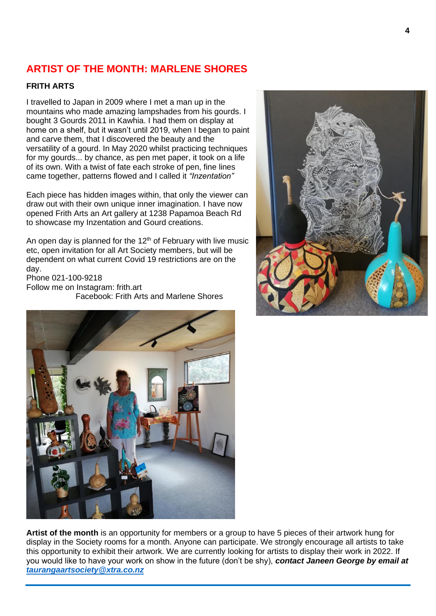### **ARTIST OF THE MONTH: MARLENE SHORES**

#### **FRITH ARTS**

I travelled to Japan in 2009 where I met a man up in the mountains who made amazing lampshades from his gourds. I bought 3 Gourds 2011 in Kawhia. I had them on display at home on a shelf, but it wasn't until 2019, when I began to paint and carve them, that I discovered the beauty and the versatility of a gourd. In May 2020 whilst practicing techniques for my gourds... by chance, as pen met paper, it took on a life of its own. With a twist of fate each stroke of pen, fine lines came together, patterns flowed and I called it *"Inzentation"*

Each piece has hidden images within, that only the viewer can draw out with their own unique inner imagination. I have now opened Frith Arts an Art gallery at 1238 Papamoa Beach Rd to showcase my Inzentation and Gourd creations.

An open day is planned for the  $12<sup>th</sup>$  of February with live music etc, open invitation for all Art Society members, but will be dependent on what current Covid 19 restrictions are on the day.

Phone 021-100-9218 Follow me on Instagram: frith.art Facebook: Frith Arts and Marlene Shores





**Artist of the month** is an opportunity for members or a group to have 5 pieces of their artwork hung for display in the Society rooms for a month. Anyone can participate. We strongly encourage all artists to take this opportunity to exhibit their artwork. We are currently looking for artists to display their work in 2022. If you would like to have your work on show in the future (don't be shy), *contact Janeen George by email at [taurangaartsociety@xtra.co.nz](mailto:taurangaartsociety@xtra.co.nz)*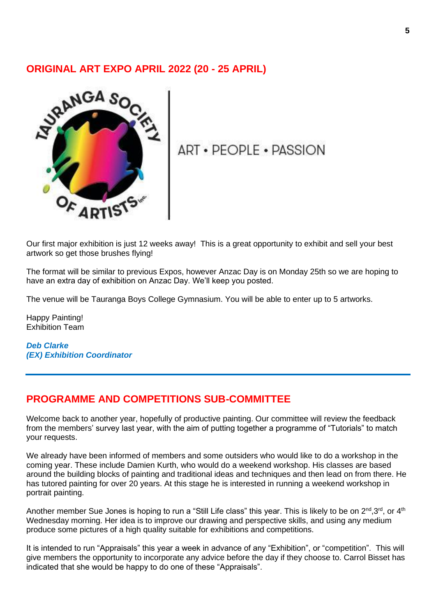#### **ORIGINAL ART EXPO APRIL 2022 (20 - 25 APRIL)**



## **ART • PEOPLE • PASSION**

Our first major exhibition is just 12 weeks away! This is a great opportunity to exhibit and sell your best artwork so get those brushes flying!

The format will be similar to previous Expos, however Anzac Day is on Monday 25th so we are hoping to have an extra day of exhibition on Anzac Day. We'll keep you posted.

The venue will be Tauranga Boys College Gymnasium. You will be able to enter up to 5 artworks.

Happy Painting! Exhibition Team

*Deb Clarke (EX) Exhibition Coordinator*

### **PROGRAMME AND COMPETITIONS SUB-COMMITTEE**

Welcome back to another year, hopefully of productive painting. Our committee will review the feedback from the members' survey last year, with the aim of putting together a programme of "Tutorials" to match your requests.

We already have been informed of members and some outsiders who would like to do a workshop in the coming year. These include Damien Kurth, who would do a weekend workshop. His classes are based around the building blocks of painting and traditional ideas and techniques and then lead on from there. He has tutored painting for over 20 years. At this stage he is interested in running a weekend workshop in portrait painting.

Another member Sue Jones is hoping to run a "Still Life class" this year. This is likely to be on 2<sup>nd</sup>, 3<sup>rd</sup>, or 4<sup>th</sup> Wednesday morning. Her idea is to improve our drawing and perspective skills, and using any medium produce some pictures of a high quality suitable for exhibitions and competitions.

It is intended to run "Appraisals" this year a week in advance of any "Exhibition", or "competition". This will give members the opportunity to incorporate any advice before the day if they choose to. Carrol Bisset has indicated that she would be happy to do one of these "Appraisals".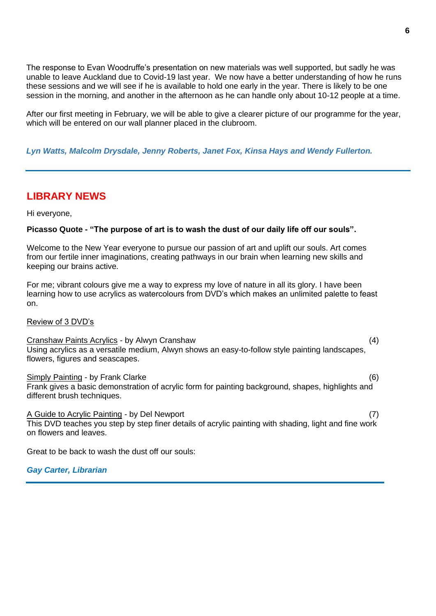The response to Evan Woodruffe's presentation on new materials was well supported, but sadly he was unable to leave Auckland due to Covid-19 last year. We now have a better understanding of how he runs these sessions and we will see if he is available to hold one early in the year. There is likely to be one session in the morning, and another in the afternoon as he can handle only about 10-12 people at a time.

After our first meeting in February, we will be able to give a clearer picture of our programme for the year, which will be entered on our wall planner placed in the clubroom.

#### *Lyn Watts, Malcolm Drysdale, Jenny Roberts, Janet Fox, Kinsa Hays and Wendy Fullerton.*

### **LIBRARY NEWS**

Hi everyone,

#### **Picasso Quote - "The purpose of art is to wash the dust of our daily life off our souls".**

Welcome to the New Year everyone to pursue our passion of art and uplift our souls. Art comes from our fertile inner imaginations, creating pathways in our brain when learning new skills and keeping our brains active.

For me; vibrant colours give me a way to express my love of nature in all its glory. I have been learning how to use acrylics as watercolours from DVD's which makes an unlimited palette to feast on.

Review of 3 DVD's

Cranshaw Paints Acrylics - by Alwyn Cranshaw (4) Using acrylics as a versatile medium, Alwyn shows an easy-to-follow style painting landscapes, flowers, figures and seascapes.

Simply Painting - by Frank Clarke (6) (6) Frank gives a basic demonstration of acrylic form for painting background, shapes, highlights and different brush techniques.

A Guide to Acrylic Painting - by Del Newport (7) This DVD teaches you step by step finer details of acrylic painting with shading, light and fine work on flowers and leaves.

Great to be back to wash the dust off our souls:

*Gay Carter, Librarian*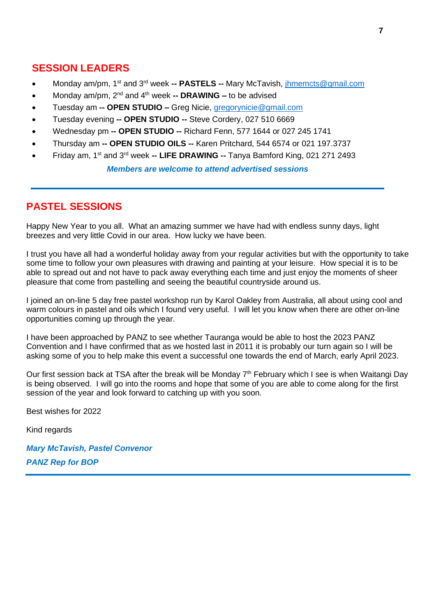### **SESSION LEADERS**

- Monday am/pm, 1st and 3rd week **-- PASTELS --** Mary McTavish, [jhmemcts@gmail.com](mailto:jhmemcts@gmail.com)
- Monday am/pm, 2nd and 4th week **-- DRAWING –** to be advised
- Tuesday am **-- OPEN STUDIO –** Greg Nicie, [gregorynicie@gmail.com](mailto:gregorynicie@gmail.com)
- Tuesday evening **-- OPEN STUDIO --** Steve Cordery, 027 510 6669
- Wednesday pm **-- OPEN STUDIO --** Richard Fenn, 577 1644 or 027 245 1741
- Thursday am **-- OPEN STUDIO OILS --** Karen Pritchard, 544 6574 or 021 197.3737
- Friday am, 1<sup>st</sup> and 3<sup>rd</sup> week -- LIFE DRAWING -- Tanya Bamford King, 021 271 2493

*Members are welcome to attend advertised sessions*

### **PASTEL SESSIONS**

Happy New Year to you all. What an amazing summer we have had with endless sunny days, light breezes and very little Covid in our area. How lucky we have been.

I trust you have all had a wonderful holiday away from your regular activities but with the opportunity to take some time to follow your own pleasures with drawing and painting at your leisure. How special it is to be able to spread out and not have to pack away everything each time and just enjoy the moments of sheer pleasure that come from pastelling and seeing the beautiful countryside around us.

I joined an on-line 5 day free pastel workshop run by Karol Oakley from Australia, all about using cool and warm colours in pastel and oils which I found very useful. I will let you know when there are other on-line opportunities coming up through the year.

I have been approached by PANZ to see whether Tauranga would be able to host the 2023 PANZ Convention and I have confirmed that as we hosted last in 2011 it is probably our turn again so I will be asking some of you to help make this event a successful one towards the end of March, early April 2023.

Our first session back at TSA after the break will be Monday 7<sup>th</sup> February which I see is when Waitangi Day is being observed. I will go into the rooms and hope that some of you are able to come along for the first session of the year and look forward to catching up with you soon.

Best wishes for 2022

Kind regards

*Mary McTavish, Pastel Convenor PANZ Rep for BOP*